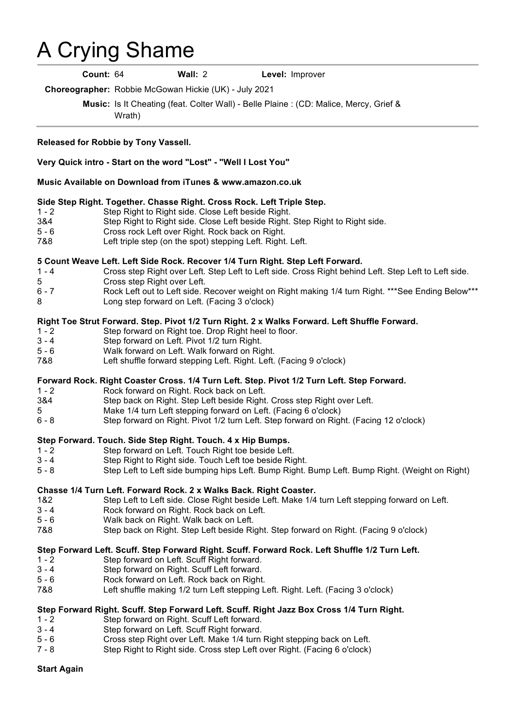# A Crying Shame .

**Count:** 64 **Wall:** 2 **Level:** Improver

**Choreographer:** Robbie McGowan Hickie (UK) - July 2021

**Music:** Is It Cheating (feat. Colter Wall) - Belle Plaine : (CD: Malice, Mercy, Grief & Wrath)

#### **Released for Robbie by Tony Vassell.**

#### **Very Quick intro - Start on the word "Lost" - "Well I Lost You"**

#### **Music Available on Download from iTunes & www.amazon.co.uk**

#### **Side Step Right. Together. Chasse Right. Cross Rock. Left Triple Step.**

- 1 2 Step Right to Right side. Close Left beside Right.
- 3&4 Step Right to Right side. Close Left beside Right. Step Right to Right side.<br>5 6 Cross rock Left over Right. Rock back on Right.
- 5 6 Cross rock Left over Right. Rock back on Right.<br>788 Left triple step (on the spot) stepping Left. Right.
- Left triple step (on the spot) stepping Left. Right. Left.

#### **5 Count Weave Left. Left Side Rock. Recover 1/4 Turn Right. Step Left Forward.**

- 1 4 Cross step Right over Left. Step Left to Left side. Cross Right behind Left. Step Left to Left side.
- 5 Cross step Right over Left.
- 6 7 Rock Left out to Left side. Recover weight on Right making 1/4 turn Right. \*\*\*See Ending Below\*\*\*
- 8 Long step forward on Left. (Facing 3 o'clock)

#### **Right Toe Strut Forward. Step. Pivot 1/2 Turn Right. 2 x Walks Forward. Left Shuffle Forward.**

- 1 2 Step forward on Right toe. Drop Right heel to floor.
- 3 4 Step forward on Left. Pivot 1/2 turn Right.
- 5 6 Walk forward on Left. Walk forward on Right.
- 7&8 Left shuffle forward stepping Left. Right. Left. (Facing 9 o'clock)

#### **Forward Rock. Right Coaster Cross. 1/4 Turn Left. Step. Pivot 1/2 Turn Left. Step Forward.**

- 1 2 Rock forward on Right. Rock back on Left.
- 3&4 Step back on Right. Step Left beside Right. Cross step Right over Left.
- 5 Make 1/4 turn Left stepping forward on Left. (Facing 6 o'clock)
- 6 8 Step forward on Right. Pivot 1/2 turn Left. Step forward on Right. (Facing 12 o'clock)

# **Step Forward. Touch. Side Step Right. Touch. 4 x Hip Bumps.**<br>1 - 2 **Step forward on Left. Touch Right toe beside Left**

- Step forward on Left. Touch Right toe beside Left.
- 3 4 Step Right to Right side. Touch Left toe beside Right.
- 5 8 Step Left to Left side bumping hips Left. Bump Right. Bump Left. Bump Right. (Weight on Right)

#### **Chasse 1/4 Turn Left. Forward Rock. 2 x Walks Back. Right Coaster.**

- 1&2 Step Left to Left side. Close Right beside Left. Make 1/4 turn Left stepping forward on Left.
- 3 4 Rock forward on Right. Rock back on Left.
- 5 6 Walk back on Right. Walk back on Left.
- 7&8 Step back on Right. Step Left beside Right. Step forward on Right. (Facing 9 o'clock)

## **Step Forward Left. Scuff. Step Forward Right. Scuff. Forward Rock. Left Shuffle 1/2 Turn Left.**

- 1 2 Step forward on Left. Scuff Right forward.
- 3 4 Step forward on Right. Scuff Left forward.
- 5 6 Rock forward on Left. Rock back on Right.
- 7&8 Left shuffle making 1/2 turn Left stepping Left. Right. Left. (Facing 3 o'clock)

# **Step Forward Right. Scuff. Step Forward Left. Scuff. Right Jazz Box Cross 1/4 Turn Right.**

- 1 2 Step forward on Right. Scuff Left forward.
- 3 4 Step forward on Left. Scuff Right forward.<br>5 6 Cross step Right over Left. Make 1/4 turn
- 5 6 Cross step Right over Left. Make 1/4 turn Right stepping back on Left.
	- Step Right to Right side. Cross step Left over Right. (Facing 6 o'clock)

## **Start Again**